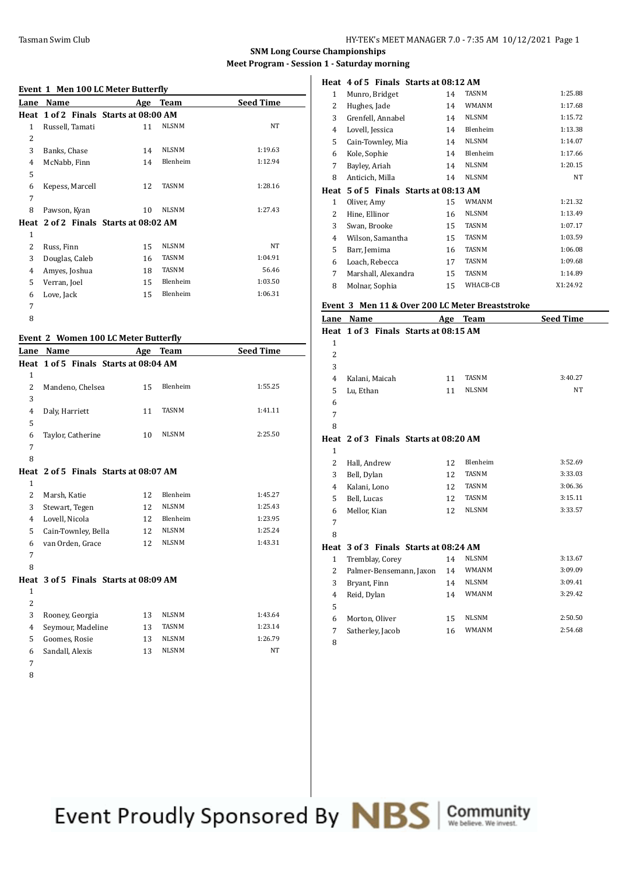### **SNM Long Course Championships Meet Program - Session 1**

## **Event 1 Men 100 LC Meter Butterfly**

|                | LVCIIt 1 MCH 100 LC MCtCl DUttCl Hy   |     |              |                  |
|----------------|---------------------------------------|-----|--------------|------------------|
| Lane           | Name                                  | Age | <b>Team</b>  | <b>Seed Time</b> |
|                | Heat 1 of 2 Finals Starts at 08:00 AM |     |              |                  |
| $\mathbf{1}$   | Russell, Tamati                       | 11  | <b>NLSNM</b> | NT               |
| $\overline{2}$ |                                       |     |              |                  |
| 3              | Banks, Chase                          | 14  | <b>NLSNM</b> | 1:19.63          |
| 4              | McNabb, Finn                          | 14  | Blenheim     | 1:12.94          |
| 5              |                                       |     |              |                  |
| 6              | Kepess, Marcell                       | 12  | TASNM        | 1:28.16          |
| 7              |                                       |     |              |                  |
| 8              | Pawson, Kyan                          | 10  | <b>NLSNM</b> | 1:27.43          |
|                | Heat 2 of 2 Finals Starts at 08:02 AM |     |              |                  |
| $\mathbf{1}$   |                                       |     |              |                  |
| 2              | Russ, Finn                            | 15  | <b>NLSNM</b> | <b>NT</b>        |
| 3              | Douglas, Caleb                        | 16  | TASNM        | 1:04.91          |
| 4              | Amyes, Joshua                         | 18  | TASNM        | 56.46            |
| 5              | Verran, Joel                          | 15  | Blenheim     | 1:03.50          |
| 6              | Love, Jack                            | 15  | Blenheim     | 1:06.31          |
| 7              |                                       |     |              |                  |
| 8              |                                       |     |              |                  |

#### **Event 2 Women 100 LC Meter Butterfly**

| Lane           | Name                                  | Age | <b>Team</b>  | <b>Seed Time</b> |
|----------------|---------------------------------------|-----|--------------|------------------|
|                | Heat 1 of 5 Finals Starts at 08:04 AM |     |              |                  |
| $\mathbf{1}$   |                                       |     |              |                  |
| 2              | Mandeno, Chelsea                      | 15  | Blenheim     | 1:55.25          |
| 3              |                                       |     |              |                  |
| 4              | Daly, Harriett                        | 11  | <b>TASNM</b> | 1:41.11          |
| 5              |                                       |     |              |                  |
| 6              | Taylor, Catherine                     | 10  | <b>NLSNM</b> | 2:25.50          |
| 7              |                                       |     |              |                  |
| 8              |                                       |     |              |                  |
|                | Heat 2 of 5 Finals Starts at 08:07 AM |     |              |                  |
| $\mathbf{1}$   |                                       |     |              |                  |
| 2              | Marsh, Katie                          | 12  | Blenheim     | 1:45.27          |
| 3              | Stewart, Tegen                        | 12  | <b>NLSNM</b> | 1:25.43          |
| 4              | Lovell, Nicola                        | 12  | Blenheim     | 1:23.95          |
| 5              | Cain-Townley, Bella                   | 12  | <b>NLSNM</b> | 1:25.24          |
| 6              | van Orden, Grace                      | 12  | <b>NLSNM</b> | 1:43.31          |
| 7              |                                       |     |              |                  |
| 8              |                                       |     |              |                  |
|                | Heat 3 of 5 Finals Starts at 08:09 AM |     |              |                  |
| $\mathbf{1}$   |                                       |     |              |                  |
| $\overline{2}$ |                                       |     |              |                  |
| 3              | Rooney, Georgia                       | 13  | <b>NLSNM</b> | 1:43.64          |
| 4              | Seymour, Madeline                     | 13  | <b>TASNM</b> | 1:23.14          |

5 Goomes, Rosie 13 NLSNM 1:26.79<br>6 Sandall, Alexis 13 NLSNM NT Sandall, Alexis 13 NLSNM NT

- 
- 

|   | 1 - Saturday morning                        |    |              |          |
|---|---------------------------------------------|----|--------------|----------|
|   | Heat 4 of 5 Finals Starts at 08:12 AM       |    |              |          |
| 1 | Munro, Bridget                              | 14 | <b>TASNM</b> | 1:25.88  |
| 2 | Hughes, Jade                                | 14 | <b>WMANM</b> | 1:17.68  |
| 3 | Grenfell, Annabel                           | 14 | <b>NLSNM</b> | 1:15.72  |
| 4 | Lovell, Jessica                             | 14 | Blenheim     | 1:13.38  |
| 5 | Cain-Townley, Mia                           | 14 | <b>NLSNM</b> | 1:14.07  |
| 6 | Kole, Sophie                                | 14 | Blenheim     | 1:17.66  |
| 7 | Bayley, Ariah                               | 14 | <b>NLSNM</b> | 1:20.15  |
| 8 | Anticich, Milla                             | 14 | <b>NLSNM</b> | NT       |
|   | Heat   5 of 5   Finals   Starts at 08:13 AM |    |              |          |
| 1 | Oliver, Amy                                 | 15 | <b>WMANM</b> | 1:21.32  |
| 2 | Hine, Ellinor                               | 16 | <b>NLSNM</b> | 1:13.49  |
| 3 | Swan, Brooke                                | 15 | <b>TASNM</b> | 1:07.17  |
| 4 | Wilson, Samantha                            | 15 | <b>TASNM</b> | 1:03.59  |
| 5 | Barr, Jemima                                | 16 | <b>TASNM</b> | 1:06.08  |
| 6 | Loach, Rebecca                              | 17 | <b>TASNM</b> | 1:09.68  |
| 7 | Marshall, Alexandra                         | 15 | <b>TASNM</b> | 1:14.89  |
| 8 | Molnar, Sophia                              | 15 | WHACB-CB     | X1:24.92 |
|   |                                             |    |              |          |

# **Event 3 Men 11 & Over 200 LC Meter Breaststroke**

| Lane         | Name                                  | Age | Team         | <b>Seed Time</b> |
|--------------|---------------------------------------|-----|--------------|------------------|
|              | Heat 1 of 3 Finals Starts at 08:15 AM |     |              |                  |
| $\mathbf{1}$ |                                       |     |              |                  |
| 2            |                                       |     |              |                  |
| 3            |                                       |     |              |                  |
| 4            | Kalani, Maicah                        | 11  | <b>TASNM</b> | 3:40.27          |
| 5            | Lu, Ethan                             | 11  | <b>NLSNM</b> | <b>NT</b>        |
| 6            |                                       |     |              |                  |
| 7            |                                       |     |              |                  |
| 8            |                                       |     |              |                  |
|              | Heat 2 of 3 Finals Starts at 08:20 AM |     |              |                  |
| $\mathbf{1}$ |                                       |     |              |                  |
| 2            | Hall, Andrew                          | 12  | Blenheim     | 3:52.69          |
| 3            | Bell, Dylan                           | 12  | <b>TASNM</b> | 3:33.03          |
| 4            | Kalani, Lono                          | 12  | <b>TASNM</b> | 3:06.36          |
| 5            | Bell, Lucas                           | 12  | <b>TASNM</b> | 3:15.11          |
| 6            | Mellor, Kian                          | 12  | <b>NLSNM</b> | 3:33.57          |
| 7            |                                       |     |              |                  |
| 8            |                                       |     |              |                  |
| Heat         | 3 of 3 Finals Starts at 08:24 AM      |     |              |                  |
| $\mathbf{1}$ | Tremblay, Corey                       | 14  | <b>NLSNM</b> | 3:13.67          |
| 2            | Palmer-Bensemann, Jaxon               | 14  | <b>WMANM</b> | 3:09.09          |
| 3            | Bryant, Finn                          | 14  | <b>NLSNM</b> | 3:09.41          |
| 4            | Reid, Dylan                           | 14  | <b>WMANM</b> | 3:29.42          |
| 5            |                                       |     |              |                  |
| 6            | Morton, Oliver                        | 15  | <b>NLSNM</b> | 2:50.50          |
| 7            | Satherley, Jacob                      | 16  | <b>WMANM</b> | 2:54.68          |
| 8            |                                       |     |              |                  |

Event Proudly Sponsored By **NBS** Community

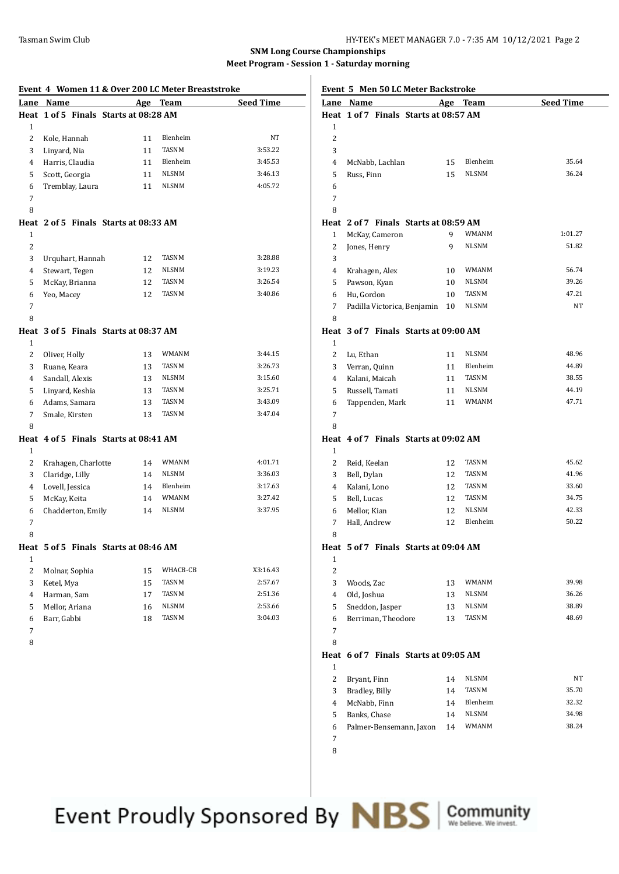**SNM Long Course Championships Meet Program - Session 1 - Saturday morning**

| Event 4 Women 11 & Over 200 LC Meter Breaststroke |                                       |    |                |                    |
|---------------------------------------------------|---------------------------------------|----|----------------|--------------------|
|                                                   | Lane Name                             |    | Age Team       | <b>Seed Time</b>   |
|                                                   | Heat 1 of 5 Finals Starts at 08:28 AM |    |                |                    |
| 1                                                 |                                       |    |                |                    |
| 2                                                 | Kole, Hannah                          | 11 | Blenheim       | NT                 |
| 3                                                 | Linyard, Nia                          | 11 | <b>TASNM</b>   | 3:53.22            |
| 4                                                 | Harris, Claudia                       | 11 | Blenheim       | 3:45.53            |
| 5                                                 | Scott, Georgia                        | 11 | NLSNM          | 3:46.13            |
| 6                                                 | Tremblay, Laura                       | 11 | <b>NLSNM</b>   | 4:05.72            |
| 7                                                 |                                       |    |                |                    |
| 8                                                 |                                       |    |                |                    |
|                                                   | Heat 2 of 5 Finals Starts at 08:33 AM |    |                |                    |
| 1                                                 |                                       |    |                |                    |
| $\overline{c}$                                    |                                       |    |                |                    |
| 3                                                 | Urquhart, Hannah                      | 12 | TASNM          | 3:28.88            |
| 4                                                 | Stewart, Tegen                        | 12 | NLSNM          | 3:19.23            |
| 5                                                 | McKay, Brianna                        | 12 | TASNM          | 3:26.54            |
| 6                                                 | Yeo, Macey                            | 12 | TASNM          | 3:40.86            |
| 7                                                 |                                       |    |                |                    |
| 8                                                 |                                       |    |                |                    |
|                                                   | Heat 3 of 5 Finals Starts at 08:37 AM |    |                |                    |
| 1                                                 |                                       |    |                |                    |
| $\overline{c}$                                    | Oliver, Holly                         | 13 | WMANM          | 3:44.15            |
| 3                                                 | Ruane, Keara                          | 13 | TASNM          | 3:26.73            |
| 4                                                 | Sandall, Alexis                       | 13 | NLSNM          | 3:15.60            |
| 5                                                 | Linyard, Keshia                       | 13 | TASNM          | 3:25.71            |
| 6                                                 | Adams, Samara                         | 13 | TASNM          | 3:43.09            |
| 7                                                 | Smale, Kirsten                        | 13 | TASNM          | 3:47.04            |
| 8                                                 |                                       |    |                |                    |
|                                                   | Heat 4 of 5 Finals Starts at 08:41 AM |    |                |                    |
| 1                                                 |                                       |    |                |                    |
| 2                                                 | Krahagen, Charlotte                   | 14 | WMANM          | 4:01.71            |
| 3                                                 | Claridge, Lilly                       | 14 | <b>NLSNM</b>   | 3:36.03            |
| 4                                                 | Lovell, Jessica                       | 14 | Blenheim       | 3:17.63            |
| 5                                                 | McKay, Keita                          | 14 | WMANM          | 3:27.42            |
| 6                                                 | Chadderton, Emily                     | 14 | NLSNM          | 3:37.95            |
| 7                                                 |                                       |    |                |                    |
| 8                                                 |                                       |    |                |                    |
|                                                   | Heat 5 of 5 Finals Starts at 08:46 AM |    |                |                    |
| $\mathbf{1}$<br>$\overline{c}$                    |                                       |    | WHACB-CB       | X3:16.43           |
|                                                   | Molnar, Sophia                        | 15 | TASNM          | 2:57.67            |
| 3                                                 | Ketel, Mya                            | 15 | TASNM          |                    |
| $\overline{4}$                                    | Harman, Sam<br>Mellor, Ariana         | 17 |                | 2:51.36<br>2:53.66 |
| 5                                                 |                                       | 16 | NLSNM<br>TASNM | 3:04.03            |
| 6<br>$\overline{7}$                               | Barr, Gabbi                           | 18 |                |                    |
|                                                   |                                       |    |                |                    |
| 8                                                 |                                       |    |                |                    |
|                                                   |                                       |    |                |                    |
|                                                   |                                       |    |                |                    |
|                                                   |                                       |    |                |                    |
|                                                   |                                       |    |                |                    |

|                | <b>Event 5 Men 50 LC Meter Backstroke</b> |    |              |                  |
|----------------|-------------------------------------------|----|--------------|------------------|
|                | Lane Name                                 |    | Age Team     | <b>Seed Time</b> |
| 1              | Heat 1 of 7 Finals Starts at 08:57 AM     |    |              |                  |
| 2              |                                           |    |              |                  |
| 3              |                                           |    |              |                  |
|                |                                           |    | Blenheim     | 35.64            |
| 4              | McNabb, Lachlan                           | 15 | <b>NLSNM</b> | 36.24            |
| 5              | Russ, Finn                                | 15 |              |                  |
| 6              |                                           |    |              |                  |
| 7              |                                           |    |              |                  |
| 8              |                                           |    |              |                  |
|                | Heat 2 of 7 Finals Starts at 08:59 AM     |    |              |                  |
| 1              | McKay, Cameron                            | 9  | WMANM        | 1:01.27          |
| 2              | Jones, Henry                              | 9  | <b>NLSNM</b> | 51.82            |
| 3              |                                           |    |              |                  |
| 4              | Krahagen, Alex                            | 10 | WMANM        | 56.74            |
| 5              | Pawson, Kyan                              | 10 | NLSNM        | 39.26            |
| 6              | Hu, Gordon                                | 10 | <b>TASNM</b> | 47.21            |
| 7              | Padilla Victorica, Benjamin               | 10 | <b>NLSNM</b> | NT               |
| 8              |                                           |    |              |                  |
|                | Heat 3 of 7 Finals Starts at 09:00 AM     |    |              |                  |
| 1              |                                           |    |              |                  |
| 2              | Lu, Ethan                                 | 11 | NLSNM        | 48.96            |
| 3              | Verran, Quinn                             | 11 | Blenheim     | 44.89            |
| 4              | Kalani, Maicah                            | 11 | TASNM        | 38.55            |
| 5              | Russell, Tamati                           | 11 | NLSNM        | 44.19            |
| 6              | Tappenden, Mark                           | 11 | <b>WMANM</b> | 47.71            |
| 7              |                                           |    |              |                  |
| 8              |                                           |    |              |                  |
|                | Heat 4 of 7 Finals Starts at 09:02 AM     |    |              |                  |
| 1              |                                           |    |              |                  |
| 2              | Reid, Keelan                              | 12 | TASNM        | 45.62            |
| 3              | Bell, Dylan                               | 12 | TASNM        | 41.96            |
| 4              | Kalani, Lono                              | 12 | TASNM        | 33.60            |
| 5              | Bell, Lucas                               | 12 | TASNM        | 34.75            |
| 6              | Mellor, Kian                              | 12 | <b>NLSNM</b> | 42.33            |
| 7              | Hall, Andrew                              | 12 | Blenheim     | 50.22            |
| 8              |                                           |    |              |                  |
|                | Heat 5 of 7 Finals Starts at 09:04 AM     |    |              |                  |
| 1              |                                           |    |              |                  |
| $\overline{c}$ |                                           |    |              |                  |
| 3              | Woods, Zac                                | 13 | WMANM        | 39.98            |
| 4              | Old, Joshua                               | 13 | NLSNM        | 36.26            |
| 5              | Sneddon, Jasper                           | 13 | NLSNM        | 38.89            |
| 6              | Berriman, Theodore                        | 13 | TASNM        | 48.69            |
| 7              |                                           |    |              |                  |
| 8              |                                           |    |              |                  |
|                | Heat 6 of 7 Finals Starts at 09:05 AM     |    |              |                  |
| 1              |                                           |    |              |                  |
| 2              | Bryant, Finn                              | 14 | NLSNM        | NT               |
| 3              | Bradley, Billy                            | 14 | TASNM        | 35.70            |
| $\overline{4}$ | McNabb, Finn                              | 14 | Blenheim     | 32.32            |
| 5              | Banks, Chase                              | 14 | <b>NLSNM</b> | 34.98            |
| 6              | Palmer-Bensemann, Jaxon                   | 14 | WMANM        | 38.24            |
| 7              |                                           |    |              |                  |

Event Proudly Sponsored By NBS

Community<br>We believe. We invest.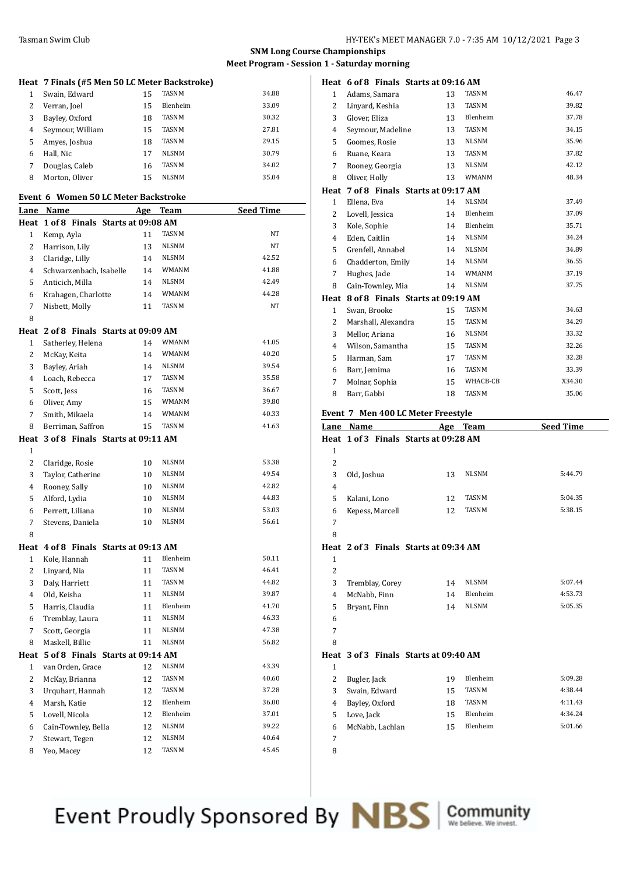# **SNM Long Course Championships Meet Program - Session 1 - Saturday morning**

|                | Heat 7 Finals (#5 Men 50 LC Meter Backstroke)             |          |                |                  |
|----------------|-----------------------------------------------------------|----------|----------------|------------------|
| 1              | Swain, Edward                                             | 15       | <b>TASNM</b>   | 34.88            |
| 2              | Verran, Joel                                              | 15       | Blenheim       | 33.09            |
| 3              | Bayley, Oxford                                            | 18       | <b>TASNM</b>   | 30.32            |
| 4              | Seymour, William                                          | 15       | <b>TASNM</b>   | 27.81            |
| 5              | Amyes, Joshua                                             | 18       | <b>TASNM</b>   | 29.15            |
| 6              | Hall, Nic                                                 | 17       | NLSNM          | 30.79            |
| 7              | Douglas, Caleb                                            | 16       | TASNM          | 34.02            |
| 8              | Morton, Oliver                                            | 15       | NLSNM          | 35.04            |
|                | Event 6 Women 50 LC Meter Backstroke                      |          |                |                  |
|                | Lane Name                                                 | Age Team |                | <b>Seed Time</b> |
|                | Heat 1 of 8 Finals Starts at 09:08 AM                     |          |                |                  |
| 1              | Kemp, Ayla                                                | 11       | TASNM          | NT               |
| 2              | Harrison, Lily                                            | 13       | <b>NLSNM</b>   | NT               |
| 3              | Claridge, Lilly                                           | 14       | <b>NLSNM</b>   | 42.52            |
| 4              | Schwarzenbach, Isabelle                                   | 14       | WMANM          | 41.88            |
| 5              | Anticich, Milla                                           | 14       | <b>NLSNM</b>   | 42.49            |
| 6              | Krahagen, Charlotte                                       | 14       | WMANM          | 44.28            |
| 7              | Nisbett, Molly                                            | 11       | <b>TASNM</b>   | NT               |
| 8              |                                                           |          |                |                  |
|                | Heat 2 of 8 Finals Starts at 09:09 AM                     |          |                |                  |
| 1              | Satherley, Helena                                         | 14       | WMANM          | 41.05            |
| 2              | McKay, Keita                                              | 14       | <b>WMANM</b>   | 40.20            |
| 3              | Bayley, Ariah                                             | 14       | NLSNM          | 39.54            |
| 4              | Loach, Rebecca                                            | 17       | TASNM          | 35.58            |
| 5              | Scott, Jess                                               | 16       | TASNM          | 36.67            |
| 6              | Oliver, Amy                                               | 15       | <b>WMANM</b>   | 39.80            |
| 7              | Smith, Mikaela                                            | 14       | WMANM          | 40.33            |
| 8              | Berriman, Saffron                                         | 15       | TASNM          | 41.63            |
|                | Heat 3 of 8 Finals Starts at 09:11 AM                     |          |                |                  |
| 1              |                                                           |          |                |                  |
| $\overline{c}$ | Claridge, Rosie                                           | 10       | NLSNM          | 53.38            |
| 3              | Taylor, Catherine                                         | 10       | NLSNM          | 49.54            |
| 4              | Rooney, Sally                                             | 10       | NLSNM          | 42.82            |
| 5              | Alford, Lydia                                             | 10       | NLSNM          | 44.83            |
| 6              | Perrett, Liliana                                          | 10       | NLSNM          | 53.03            |
| 7              | Stevens, Daniela                                          | 10       | <b>NLSNM</b>   | 56.61            |
| 8              |                                                           |          |                |                  |
|                | Heat 4 of 8 Finals Starts at 09:13 AM                     |          |                |                  |
| 1              | Kole, Hannah                                              | 11       | Blenheim       | 50.11            |
| 2              | Linyard, Nia                                              | 11       | <b>TASNM</b>   | 46.41            |
| 3              | Daly, Harriett                                            | 11       | TASNM          | 44.82            |
| 4              | Old, Keisha                                               | 11       | NLSNM          | 39.87            |
| 5              | Harris, Claudia                                           | 11       | Blenheim       | 41.70            |
| 6<br>7         | Tremblay, Laura<br>Scott, Georgia                         | 11<br>11 | NLSNM<br>NLSNM | 46.33<br>47.38   |
| 8              | Maskell, Billie                                           | 11       | NLSNM          | 56.82            |
|                |                                                           |          |                |                  |
| 1              | Heat 5 of 8 Finals Starts at 09:14 AM<br>van Orden, Grace | 12       | <b>NLSNM</b>   | 43.39            |
| 2              | McKay, Brianna                                            | 12       | TASNM          | 40.60            |
| 3              | Urquhart, Hannah                                          | 12       | TASNM          | 37.28            |
| 4              | Marsh, Katie                                              | 12       | Blenheim       | 36.00            |
| 5              | Lovell, Nicola                                            | 12       | Blenheim       | 37.01            |
| 6              | Cain-Townley, Bella                                       | 12       | NLSNM          | 39.22            |
| 7              | Stewart, Tegen                                            | 12       | NLSNM          | 40.64            |
| 8              | Yeo, Macey                                                | 12       | TASNM          | 45.45            |
|                |                                                           |          |                |                  |

|                | Heat 6 of 8 Finals Starts at 09:16 AM |    |              |        |
|----------------|---------------------------------------|----|--------------|--------|
| $\mathbf{1}$   | Adams, Samara                         | 13 | <b>TASNM</b> | 46.47  |
| $\overline{2}$ | Linyard, Keshia                       | 13 | <b>TASNM</b> | 39.82  |
| 3              | Glover, Eliza                         | 13 | Blenheim     | 37.78  |
| 4              | Seymour, Madeline                     | 13 | <b>TASNM</b> | 34.15  |
| 5              | Goomes, Rosie                         | 13 | <b>NLSNM</b> | 35.96  |
| 6              | Ruane, Keara                          | 13 | <b>TASNM</b> | 37.82  |
| 7              | Rooney, Georgia                       | 13 | <b>NLSNM</b> | 42.12  |
| 8              | Oliver, Holly                         | 13 | <b>WMANM</b> | 48.34  |
|                | Heat 7 of 8 Finals Starts at 09:17 AM |    |              |        |
| $\mathbf{1}$   | Ellena, Eva                           | 14 | <b>NLSNM</b> | 37.49  |
| 2              | Lovell, Jessica                       | 14 | Blenheim     | 37.09  |
| 3              | Kole, Sophie                          | 14 | Blenheim     | 35.71  |
| $\overline{4}$ | Eden, Caitlin                         | 14 | <b>NLSNM</b> | 34.24  |
| 5              | Grenfell, Annabel                     | 14 | <b>NLSNM</b> | 34.89  |
| 6              | Chadderton, Emily                     | 14 | <b>NLSNM</b> | 36.55  |
| 7              | Hughes, Jade                          | 14 | <b>WMANM</b> | 37.19  |
| 8              | Cain-Townley, Mia                     | 14 | <b>NLSNM</b> | 37.75  |
|                | Heat 8 of 8 Finals Starts at 09:19 AM |    |              |        |
| $\mathbf{1}$   | Swan, Brooke                          | 15 | <b>TASNM</b> | 34.63  |
| 2              | Marshall, Alexandra                   | 15 | <b>TASNM</b> | 34.29  |
| 3              | Mellor, Ariana                        | 16 | <b>NLSNM</b> | 33.32  |
| $\overline{4}$ | Wilson, Samantha                      | 15 | <b>TASNM</b> | 32.26  |
| 5              | Harman, Sam                           | 17 | <b>TASNM</b> | 32.28  |
| 6              | Barr, Jemima                          | 16 | <b>TASNM</b> | 33.39  |
| 7              | Molnar, Sophia                        | 15 | WHACB-CB     | X34.30 |
| 8              | Barr, Gabbi                           | 18 | <b>TASNM</b> | 35.06  |
|                |                                       |    |              |        |

|  |  |  |  | Event 7 Men 400 LC Meter Freestyle |
|--|--|--|--|------------------------------------|
|--|--|--|--|------------------------------------|

| Lane         | Name            | Age                                   | <b>Team</b>  | <b>Seed Time</b> |
|--------------|-----------------|---------------------------------------|--------------|------------------|
|              |                 | Heat 1 of 3 Finals Starts at 09:28 AM |              |                  |
| 1            |                 |                                       |              |                  |
| 2            |                 |                                       |              |                  |
| 3            | Old, Joshua     | 13                                    | <b>NLSNM</b> | 5:44.79          |
| 4            |                 |                                       |              |                  |
| 5            | Kalani, Lono    | 12                                    | <b>TASNM</b> | 5:04.35          |
| 6            | Kepess, Marcell | 12                                    | <b>TASNM</b> | 5:38.15          |
| 7            |                 |                                       |              |                  |
| 8            |                 |                                       |              |                  |
|              |                 | Heat 2 of 3 Finals Starts at 09:34 AM |              |                  |
| $\mathbf{1}$ |                 |                                       |              |                  |
| 2            |                 |                                       |              |                  |
| 3            | Tremblay, Corey | 14                                    | <b>NLSNM</b> | 5:07.44          |
| 4            | McNabb, Finn    | 14                                    | Blenheim     | 4:53.73          |
| 5            | Bryant, Finn    | 14                                    | <b>NLSNM</b> | 5:05.35          |
| 6            |                 |                                       |              |                  |
| 7            |                 |                                       |              |                  |
| 8            |                 |                                       |              |                  |
|              |                 | Heat 3 of 3 Finals Starts at 09:40 AM |              |                  |
| $\mathbf{1}$ |                 |                                       |              |                  |
| 2            | Bugler, Jack    | 19                                    | Blenheim     | 5:09.28          |
| 3            | Swain, Edward   | 15                                    | <b>TASNM</b> | 4:38.44          |
| 4            | Bayley, Oxford  | 18                                    | <b>TASNM</b> | 4:11.43          |
| 5            | Love, Jack      | 15                                    | Blenheim     | 4:34.24          |
| 6            | McNabb, Lachlan | 15                                    | Blenheim     | 5:01.66          |
| 7            |                 |                                       |              |                  |

Event Proudly Sponsored By **NBS** Community